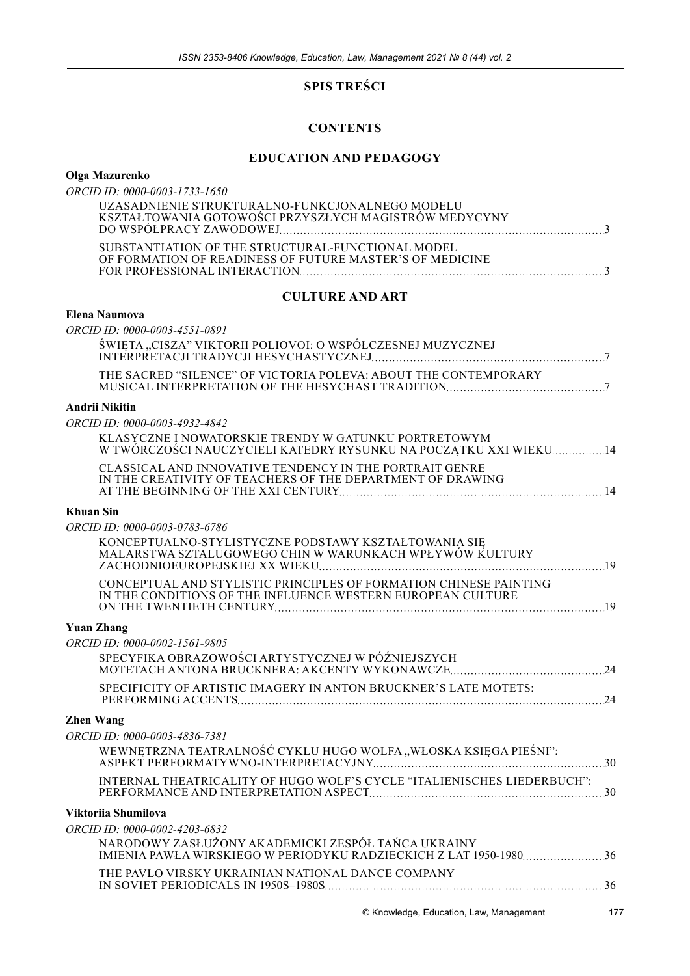# **SPIS TREŚCI**

# **CONTENTS**

# **EDUCATION AND PEDAGOGY**

# Olga Mazurenko

| ORCID ID: 0000-0003-1733-1650                                                                                                    |
|----------------------------------------------------------------------------------------------------------------------------------|
| UZASADNIENIE STRUKTURALNO-FUNKCJONALNEGO MODELU<br>KSZTAŁ TOWANIA GOTOWOŚCI PRZYSZŁYCH MAGISTRÓW MEDYCYNY                        |
| SUBSTANTIATION OF THE STRUCTURAL-FUNCTIONAL MODEL<br>OF FORMATION OF READINESS OF FUTURE MASTER'S OF MEDICINE                    |
| <b>CULTURE AND ART</b>                                                                                                           |
| <b>Elena Naumova</b>                                                                                                             |
| ORCID ID: 0000-0003-4551-0891                                                                                                    |
| ŚWIĘTA "CISZA" VIKTORII POLIOVOI: O WSPÓŁCZESNEJ MUZYCZNEJ                                                                       |
| THE SACRED "SILENCE" OF VICTORIA POLEVA: ABOUT THE CONTEMPORARY                                                                  |
| <b>Andrii Nikitin</b>                                                                                                            |
| ORCID ID: 0000-0003-4932-4842                                                                                                    |
| KLASYCZNE I NOWATORSKIE TRENDY W GATUNKU PORTRETOWYM<br>W TWÓRCZOŚCI NAUCZYCIELI KATEDRY RYSUNKU NA POCZĄTKU XXI WIEKU14         |
| CLASSICAL AND INNOVATIVE TENDENCY IN THE PORTRAIT GENRE<br>IN THE CREATIVITY OF TEACHERS OF THE DEPARTMENT OF DRAWING            |
| <b>Khuan Sin</b>                                                                                                                 |
| ORCID ID: 0000-0003-0783-6786                                                                                                    |
| KONCEPTUALNO-STYLISTYCZNE PODSTAWY KSZTAŁTOWANIA SIE<br>MALARSTWA SZTALUGOWEGO CHIN W WARUNKACH WPŁYWÓW KULTURY                  |
| CONCEPTUAL AND STYLISTIC PRINCIPLES OF FORMATION CHINESE PAINTING<br>IN THE CONDITIONS OF THE INFLUENCE WESTERN EUROPEAN CULTURE |
| <b>Yuan Zhang</b>                                                                                                                |
| ORCID ID: 0000-0002-1561-9805                                                                                                    |
| SPECYFIKA OBRAZOWOŚCI ARTYSTYCZNEJ W PÓŹNIEJSZYCH                                                                                |
| SPECIFICITY OF ARTISTIC IMAGERY IN ANTON BRUCKNER'S LATE MOTETS:<br>.24                                                          |
| <b>Zhen Wang</b>                                                                                                                 |
| ORCID ID: 0000-0003-4836-7381                                                                                                    |
| WEWNĘTRZNA TEATRALNOŚĆ CYKLU HUGO WOLFA "WŁOSKA KSIĘGA PIEŚNI":                                                                  |
| INTERNAL THEATRICALITY OF HUGO WOLF'S CYCLE "ITALIENISCHES LIEDERBUCH":                                                          |

# Viktoriia Shumilova

| ORCID ID: 0000-0002-4203-6832                      |  |
|----------------------------------------------------|--|
| NARODOWY ZASŁUŻONY AKADEMICKI ZESPÓŁ TAŃCA UKRAINY |  |
| THE PAVLO VIRSKY UKRAINIAN NATIONAL DANCE COMPANY  |  |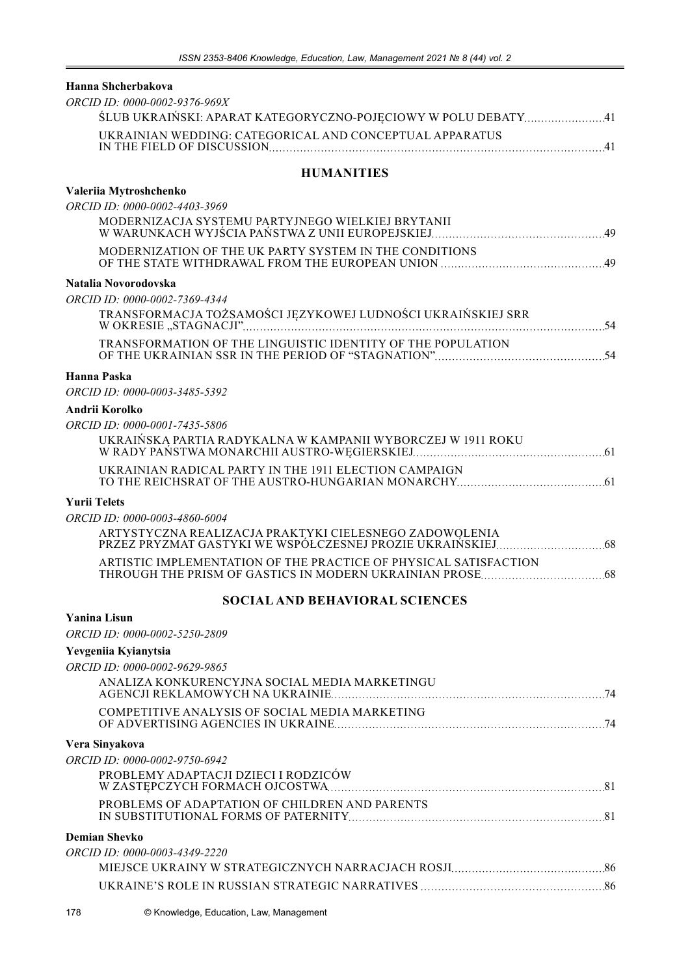#### **Hanna Shcherbakova**

| ORCID ID: 0000-0002-9376-969X                                 |    |
|---------------------------------------------------------------|----|
| ŚLUB UKRAIŃSKI: APARAT KATEGORYCZNO-POJĘCIOWY W POLU DEBATY41 |    |
| UKRAINIAN WEDDING: CATEGORICAL AND CONCEPTUAL APPARATUS       | 41 |
|                                                               |    |

# **HUMANITIES**

#### **Valeriia Mytroshchenko**

| ORCID ID: 0000-0002-4403-3969                                    |
|------------------------------------------------------------------|
| MODERNIZACJA SYSTEMU PARTYJNEGO WIELKIEJ BRYTANII                |
| MODERNIZATION OF THE UK PARTY SYSTEM IN THE CONDITIONS           |
| Natalia Novorodovska                                             |
| ORCID ID: 0000-0002-7369-4344                                    |
| TRANSFORMACJA TOŻSAMOŚCI JĘZYKOWEJ LUDNOŚCI UKRAIŃSKIEJ SRR      |
| TRANSFORMATION OF THE LINGUISTIC IDENTITY OF THE POPULATION      |
| Hanna Paska                                                      |
| ORCID ID: 0000-0003-3485-5392                                    |
| Andrii Korolko                                                   |
| ORCID ID: 0000-0001-7435-5806                                    |
| UKRAIŃSKA PARTIA RADYKALNA W KAMPANII WYBORCZEJ W 1911 ROKU      |
| UKRAINIAN RADICAL PARTY IN THE 1911 ELECTION CAMPAIGN            |
| <b>Yurii Telets</b>                                              |
| ORCID ID: 0000-0003-4860-6004                                    |
| ARTYSTYCZNA REALIZACJA PRAKTYKI CIELESNEGO ZADOWOLENIA           |
| ARTISTIC IMPLEMENTATION OF THE PRACTICE OF PHYSICAL SATISFACTION |

### **SOCIAL AND BEHAVIORAL SCIENCES**

#### **Yanina Lisun**

*ORCID ID: 0000-0002-5250-2809*

## **Yevgeniia Kyianytsia**

| ORCID ID: 0000-0002-9629-9865                  |    |
|------------------------------------------------|----|
| ANALIZA KONKURENCYJNA SOCIAL MEDIA MARKETINGU  |    |
| COMPETITIVE ANALYSIS OF SOCIAL MEDIA MARKETING | 74 |
| Vera Sinyakova                                 |    |
| <i>ORCID ID: 0000-0002-9750-6942</i>           |    |
| PROBLEMY ADAPTACJI DZIECI I RODZICÓW           |    |
| PROBLEMS OF ADAPTATION OF CHILDREN AND PARENTS |    |
| Demian Shevko                                  |    |
| <i>ORCID ID: 0000-0003-4349-2220</i>           |    |
|                                                |    |
|                                                |    |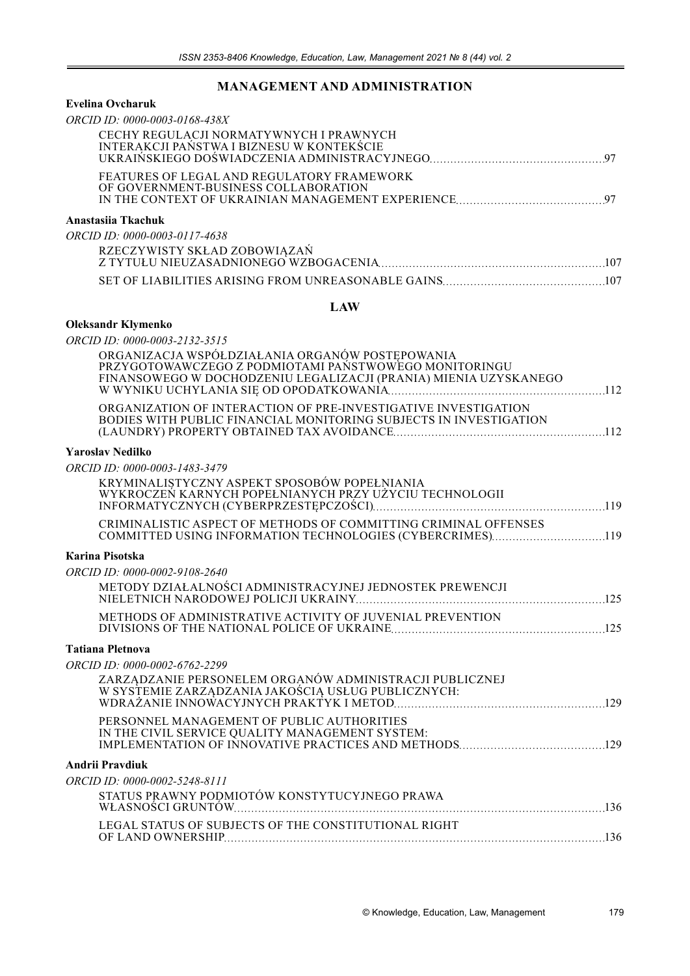# **MANAGEMENT AND ADMINISTRATION**

#### **Evelina Ovcharuk**

**Oleksandr Klymenko**

| ORCID ID: 0000-0003-0168-438X                                                        |  |
|--------------------------------------------------------------------------------------|--|
| CECHY REGULACJI NORMATYWNYCH I PRAWNYCH<br>INTERAKCJI PAŃSTWA I BIZNESU W KONTEKŚCIE |  |
|                                                                                      |  |
| FEATURES OF LEGAL AND REGULATORY FRAMEWORK<br>OF GOVERNMENT-BUSINESS COLLABORATION   |  |
|                                                                                      |  |
| Anastasiia Tkachuk                                                                   |  |
| ORCID ID: 0000-0003-0117-4638                                                        |  |
| RZECZYWISTY SKŁAD ZOBOWIĄZAŃ                                                         |  |
|                                                                                      |  |

#### **LAW**

SET OF LIABILITIES ARISING FROM UNREASONABLE GAINS 107

| COMMITTED USING INFORMATION TECHNOLOGIES (CYBERCRIMES)119 |
|-----------------------------------------------------------|
|                                                           |
|                                                           |
|                                                           |
|                                                           |
|                                                           |
|                                                           |
|                                                           |
|                                                           |
|                                                           |
|                                                           |
|                                                           |
|                                                           |
|                                                           |